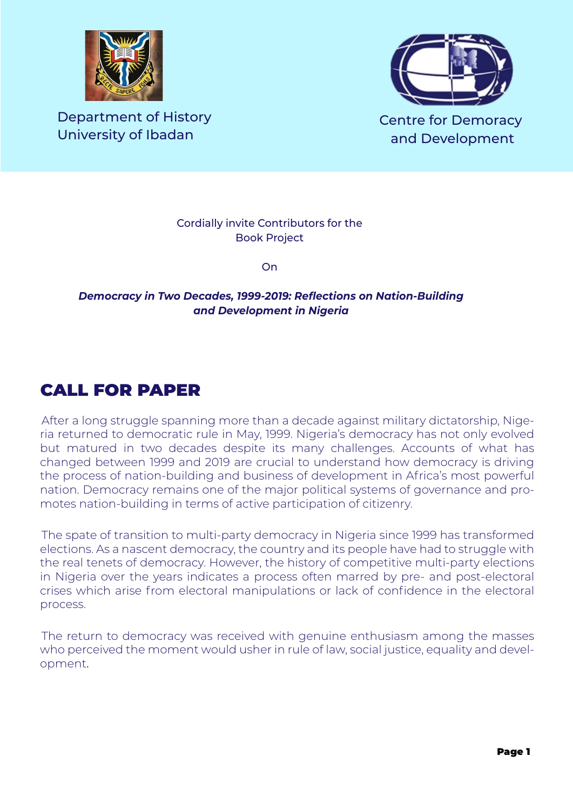

Department of History University of Ibadan



Cordially invite Contributors for the Book Project

**On** 

## *Democracy in Two Decades, 1999-2019: Reflections on Nation-Building and Development in Nigeria*

## CALL FOR PAPER

After a long struggle spanning more than a decade against military dictatorship, Nigeria returned to democratic rule in May, 1999. Nigeria's democracy has not only evolved but matured in two decades despite its many challenges. Accounts of what has changed between 1999 and 2019 are crucial to understand how democracy is driving the process of nation-building and business of development in Africa's most powerful nation. Democracy remains one of the major political systems of governance and promotes nation-building in terms of active participation of citizenry.

The spate of transition to multi-party democracy in Nigeria since 1999 has transformed elections. As a nascent democracy, the country and its people have had to struggle with the real tenets of democracy. However, the history of competitive multi-party elections in Nigeria over the years indicates a process often marred by pre- and post-electoral crises which arise from electoral manipulations or lack of confidence in the electoral process.

The return to democracy was received with genuine enthusiasm among the masses who perceived the moment would usher in rule of law, social justice, equality and development.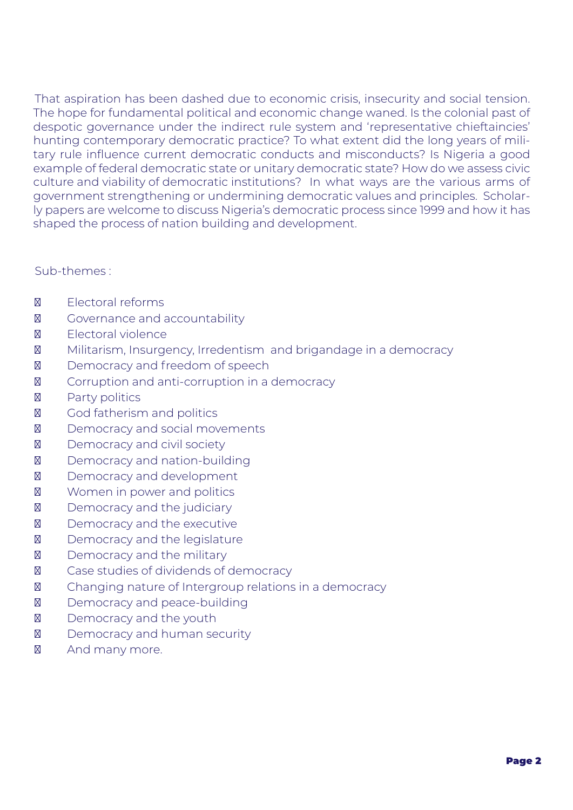That aspiration has been dashed due to economic crisis, insecurity and social tension. The hope for fundamental political and economic change waned. Is the colonial past of despotic governance under the indirect rule system and 'representative chieftaincies' hunting contemporary democratic practice? To what extent did the long years of military rule influence current democratic conducts and misconducts? Is Nigeria a good example of federal democratic state or unitary democratic state? How do we assess civic culture and viability of democratic institutions? In what ways are the various arms of government strengthening or undermining democratic values and principles. Scholarly papers are welcome to discuss Nigeria's democratic process since 1999 and how it has shaped the process of nation building and development.

## Sub-themes :

 Electoral reforms Governance and accountability Electoral violence Militarism, Insurgency, Irredentism and brigandage in a democracy Democracy and freedom of speech Corruption and anti-corruption in a democracy Party politics God fatherism and politics Democracy and social movements Democracy and civil society Democracy and nation-building Democracy and development Women in power and politics Democracy and the judiciary Democracy and the executive Democracy and the legislature Democracy and the military Case studies of dividends of democracy Changing nature of Intergroup relations in a democracy Democracy and peace-building Democracy and the youth Democracy and human security And many more.